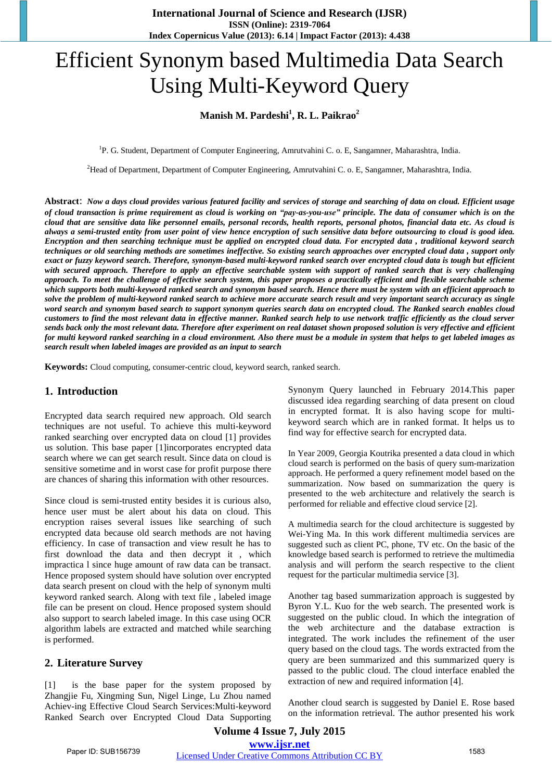# Efficient Synonym based Multimedia Data Search Using Multi-Keyword Query

## **Manish M. Pardeshi<sup>1</sup> , R. L. Paikrao<sup>2</sup>**

<sup>1</sup>P. G. Student, Department of Computer Engineering, Amrutvahini C. o. E, Sangamner, Maharashtra, India.

<sup>2</sup>Head of Department, Department of Computer Engineering, Amrutvahini C. o. E, Sangamner, Maharashtra, India.

**Abstract**: *Now a days cloud provides various featured facility and services of storage and searching of data on cloud. Efficient usage of cloud transaction is prime requirement as cloud is working on "pay-as-you-use" principle. The data of consumer which is on the cloud that are sensitive data like personnel emails, personal records, health reports, personal photos, financial data etc. As cloud is always a semi-trusted entity from user point of view hence encryption of such sensitive data before outsourcing to cloud is good idea. Encryption and then searching technique must be applied on encrypted cloud data. For encrypted data , traditional keyword search techniques or old searching methods are sometimes ineffective. So existing search approaches over encrypted cloud data , support only exact or fuzzy keyword search. Therefore, synonym-based multi-keyword ranked search over encrypted cloud data is tough but efficient*  with secured approach. Therefore to apply an effective searchable system with support of ranked search that is very challenging *approach. To meet the challenge of effective search system, this paper proposes a practically efficient and flexible searchable scheme which supports both multi-keyword ranked search and synonym based search. Hence there must be system with an efficient approach to solve the problem of multi-keyword ranked search to achieve more accurate search result and very important search accuracy as single word search and synonym based search to support synonym queries search data on encrypted cloud. The Ranked search enables cloud customers to find the most relevant data in effective manner. Ranked search help to use network traffic efficiently as the cloud server sends back only the most relevant data. Therefore after experiment on real dataset shown proposed solution is very effective and efficient for multi keyword ranked searching in a cloud environment. Also there must be a module in system that helps to get labeled images as search result when labeled images are provided as an input to search* 

**Keywords:** Cloud computing, consumer-centric cloud, keyword search, ranked search.

## **1. Introduction**

Encrypted data search required new approach. Old search techniques are not useful. To achieve this multi-keyword ranked searching over encrypted data on cloud [1] provides us solution. This base paper [1]incorporates encrypted data search where we can get search result. Since data on cloud is sensitive sometime and in worst case for profit purpose there are chances of sharing this information with other resources.

Since cloud is semi-trusted entity besides it is curious also, hence user must be alert about his data on cloud. This encryption raises several issues like searching of such encrypted data because old search methods are not having efficiency. In case of transaction and view result he has to first download the data and then decrypt it , which impractica l since huge amount of raw data can be transact. Hence proposed system should have solution over encrypted data search present on cloud with the help of synonym multi keyword ranked search. Along with text file , labeled image file can be present on cloud. Hence proposed system should also support to search labeled image. In this case using OCR algorithm labels are extracted and matched while searching is performed.

### **2. Literature Survey**

is the base paper for the system proposed by Zhangjie Fu, Xingming Sun, Nigel Linge, Lu Zhou named Achiev-ing Effective Cloud Search Services:Multi-keyword Ranked Search over Encrypted Cloud Data Supporting Synonym Query launched in February 2014.This paper discussed idea regarding searching of data present on cloud in encrypted format. It is also having scope for multikeyword search which are in ranked format. It helps us to find way for effective search for encrypted data.

In Year 2009, Georgia Koutrika presented a data cloud in which cloud search is performed on the basis of query sum-marization approach. He performed a query refinement model based on the summarization. Now based on summarization the query is presented to the web architecture and relatively the search is performed for reliable and effective cloud service [2].

A multimedia search for the cloud architecture is suggested by Wei-Ying Ma. In this work different multimedia services are suggested such as client PC, phone, TV etc. On the basic of the knowledge based search is performed to retrieve the multimedia analysis and will perform the search respective to the client request for the particular multimedia service [3].

Another tag based summarization approach is suggested by Byron Y.L. Kuo for the web search. The presented work is suggested on the public cloud. In which the integration of the web architecture and the database extraction is integrated. The work includes the refinement of the user query based on the cloud tags. The words extracted from the query are been summarized and this summarized query is passed to the public cloud. The cloud interface enabled the extraction of new and required information [4].

Another cloud search is suggested by Daniel E. Rose based on the information retrieval. The author presented his work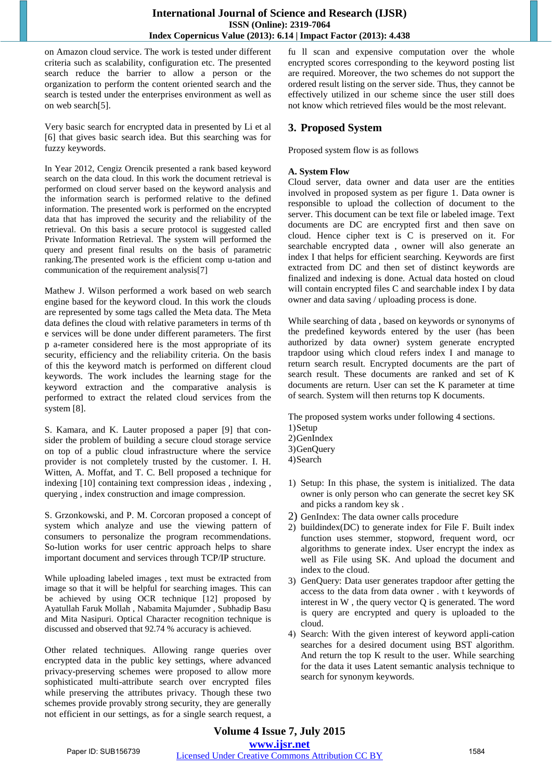on Amazon cloud service. The work is tested under different criteria such as scalability, configuration etc. The presented search reduce the barrier to allow a person or the organization to perform the content oriented search and the search is tested under the enterprises environment as well as on web search[5].

Very basic search for encrypted data in presented by Li et al [6] that gives basic search idea. But this searching was for fuzzy keywords.

In Year 2012, Cengiz Orencik presented a rank based keyword search on the data cloud. In this work the document retrieval is performed on cloud server based on the keyword analysis and the information search is performed relative to the defined information. The presented work is performed on the encrypted data that has improved the security and the reliability of the retrieval. On this basis a secure protocol is suggested called Private Information Retrieval. The system will performed the query and present final results on the basis of parametric ranking.The presented work is the efficient comp u-tation and communication of the requirement analysis[7]

Mathew J. Wilson performed a work based on web search engine based for the keyword cloud. In this work the clouds are represented by some tags called the Meta data. The Meta data defines the cloud with relative parameters in terms of th e services will be done under different parameters. The first p a-rameter considered here is the most appropriate of its security, efficiency and the reliability criteria. On the basis of this the keyword match is performed on different cloud keywords. The work includes the learning stage for the keyword extraction and the comparative analysis is performed to extract the related cloud services from the system [8].

S. Kamara, and K. Lauter proposed a paper [9] that consider the problem of building a secure cloud storage service on top of a public cloud infrastructure where the service provider is not completely trusted by the customer. I. H. Witten, A. Moffat, and T. C. Bell proposed a technique for indexing [10] containing text compression ideas , indexing , querying , index construction and image compression.

S. Grzonkowski, and P. M. Corcoran proposed a concept of system which analyze and use the viewing pattern of consumers to personalize the program recommendations. So-lution works for user centric approach helps to share important document and services through TCP/IP structure.

While uploading labeled images , text must be extracted from image so that it will be helpful for searching images. This can be achieved by using OCR technique [12] proposed by Ayatullah Faruk Mollah , Nabamita Majumder , Subhadip Basu and Mita Nasipuri. Optical Character recognition technique is discussed and observed that 92.74 % accuracy is achieved.

Other related techniques. Allowing range queries over encrypted data in the public key settings, where advanced privacy-preserving schemes were proposed to allow more sophisticated multi-attribute search over encrypted files while preserving the attributes privacy. Though these two schemes provide provably strong security, they are generally not efficient in our settings, as for a single search request, a fu ll scan and expensive computation over the whole encrypted scores corresponding to the keyword posting list are required. Moreover, the two schemes do not support the ordered result listing on the server side. Thus, they cannot be effectively utilized in our scheme since the user still does not know which retrieved files would be the most relevant.

# **3. Proposed System**

Proposed system flow is as follows

## **A. System Flow**

Cloud server, data owner and data user are the entities involved in proposed system as per figure 1. Data owner is responsible to upload the collection of document to the server. This document can be text file or labeled image. Text documents are DC are encrypted first and then save on cloud. Hence cipher text is C is preserved on it. For searchable encrypted data , owner will also generate an index I that helps for efficient searching. Keywords are first extracted from DC and then set of distinct keywords are finalized and indexing is done. Actual data hosted on cloud will contain encrypted files C and searchable index I by data owner and data saving / uploading process is done.

While searching of data , based on keywords or synonyms of the predefined keywords entered by the user (has been authorized by data owner) system generate encrypted trapdoor using which cloud refers index I and manage to return search result. Encrypted documents are the part of search result. These documents are ranked and set of K documents are return. User can set the K parameter at time of search. System will then returns top K documents.

The proposed system works under following 4 sections. 1)Setup 2)GenIndex 3)GenQuery 4)Search

- 1) Setup: In this phase, the system is initialized. The data owner is only person who can generate the secret key SK and picks a random key sk .
- 2) GenIndex: The data owner calls procedure
- 2) buildindex(DC) to generate index for File F. Built index function uses stemmer, stopword, frequent word, ocr algorithms to generate index. User encrypt the index as well as File using SK. And upload the document and index to the cloud.
- 3) GenQuery: Data user generates trapdoor after getting the access to the data from data owner . with t keywords of interest in W , the query vector Q is generated. The word is query are encrypted and query is uploaded to the cloud.
- 4) Search: With the given interest of keyword appli-cation searches for a desired document using BST algorithm. And return the top K result to the user. While searching for the data it uses Latent semantic analysis technique to search for synonym keywords.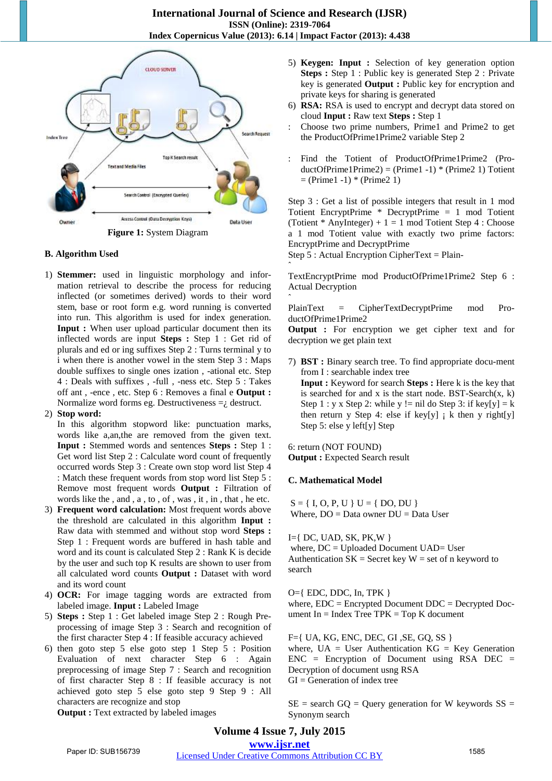ˆ

ˆ



### **Figure 1:** System Diagram

#### **B. Algorithm Used**

1) **Stemmer:** used in linguistic morphology and information retrieval to describe the process for reducing inflected (or sometimes derived) words to their word stem, base or root form e.g. word running is converted into run. This algorithm is used for index generation. **Input :** When user upload particular document then its inflected words are input **Steps :** Step 1 : Get rid of plurals and ed or ing suffixes Step 2 : Turns terminal y to i when there is another vowel in the stem Step 3 : Maps double suffixes to single ones ization , -ational etc. Step 4 : Deals with suffixes , -full , -ness etc. Step 5 : Takes off ant , -ence , etc. Step 6 : Removes a final e **Output :** Normalize word forms eg. Destructiveness  $=$  destruct.

#### 2) **Stop word:**

In this algorithm stopword like: punctuation marks, words like a,an,the are removed from the given text. **Input :** Stemmed words and sentences **Steps :** Step 1 : Get word list Step 2 : Calculate word count of frequently occurred words Step 3 : Create own stop word list Step 4 : Match these frequent words from stop word list Step 5 : Remove most frequent words **Output :** Filtration of words like the , and , a , to , of , was , it , in , that , he etc.

- 3) **Frequent word calculation:** Most frequent words above the threshold are calculated in this algorithm **Input :**  Raw data with stemmed and without stop word **Steps :** Step 1 : Frequent words are buffered in hash table and word and its count is calculated Step 2 : Rank K is decide by the user and such top K results are shown to user from all calculated word counts **Output :** Dataset with word and its word count
- 4) **OCR:** For image tagging words are extracted from labeled image. **Input :** Labeled Image
- 5) **Steps :** Step 1 : Get labeled image Step 2 : Rough Preprocessing of image Step 3 : Search and recognition of the first character Step 4 : If feasible accuracy achieved
- 6) then goto step 5 else goto step 1 Step 5 : Position Evaluation of next character Step 6 : Again preprocessing of image Step 7 : Search and recognition of first character Step 8 : If feasible accuracy is not achieved goto step 5 else goto step 9 Step 9 : All characters are recognize and stop  **Output :** Text extracted by labeled images

5) **Keygen: Input :** Selection of key generation option **Steps :** Step 1 : Public key is generated Step 2 : Private key is generated **Output :** Public key for encryption and private keys for sharing is generated

- 6) **RSA:** RSA is used to encrypt and decrypt data stored on cloud **Input :** Raw text **Steps :** Step 1
- : Choose two prime numbers, Prime1 and Prime2 to get the ProductOfPrime1Prime2 variable Step 2
- : Find the Totient of ProductOfPrime1Prime2 (Pro $ductOfPrime1Prime2) = (Prime1 -1) * (Prime2 1) Totient$  $=$  (Prime1 -1)  $*$  (Prime2 1)

Step 3 : Get a list of possible integers that result in 1 mod Totient EncryptPrime \* DecryptPrime = 1 mod Totient (Totient  $*$  AnyInteger) + 1 = 1 mod Totient Step 4 : Choose a 1 mod Totient value with exactly two prime factors: EncryptPrime and DecryptPrime

Step 5 : Actual Encryption CipherText = Plain-

TextEncryptPrime mod ProductOfPrime1Prime2 Step 6 : Actual Decryption

PlainText = CipherTextDecryptPrime mod ProductOfPrime1Prime2

**Output :** For encryption we get cipher text and for decryption we get plain text

7) **BST :** Binary search tree. To find appropriate docu-ment from I : searchable index tree  **Input :** Keyword for search **Steps :** Here k is the key that is searched for and x is the start node. BST-Search $(x, k)$ Step 1 : y x Step 2: while y != nil do Step 3: if key[y] = k then return y Step 4: else if key[y]  $\mathbf{i}$  k then y right[y] Step 5: else y left[y] Step

#### 6: return (NOT FOUND)

**Output : Expected Search result** 

#### **C. Mathematical Model**

 $S = \{ I, O, P, U \} U = \{ DO, DU \}$ Where,  $DO = Data$  owner  $DI = Data$  User

 $I=\{ DC, UAD, SK, PK, W \}$ where,  $DC = Uploaded Document UAD = User$ Authentication  $SK =$  Secret key  $W =$  set of n keyword to search

O={ EDC, DDC, In, TPK } where, EDC = Encrypted Document DDC = Decrypted Document  $In = Index Tree TPK = Top K document$ 

F={ UA, KG, ENC, DEC, GI ,SE, GQ, SS } where,  $UA = User Authentication KG = Key Generation$  $ENC = Encryption of Document using RSA DEC =$ Decryption of document usng RSA  $GI = Generation of index tree$ 

 $SE$  = search  $GQ$  = Query generation for W keywords  $SS$  = Synonym search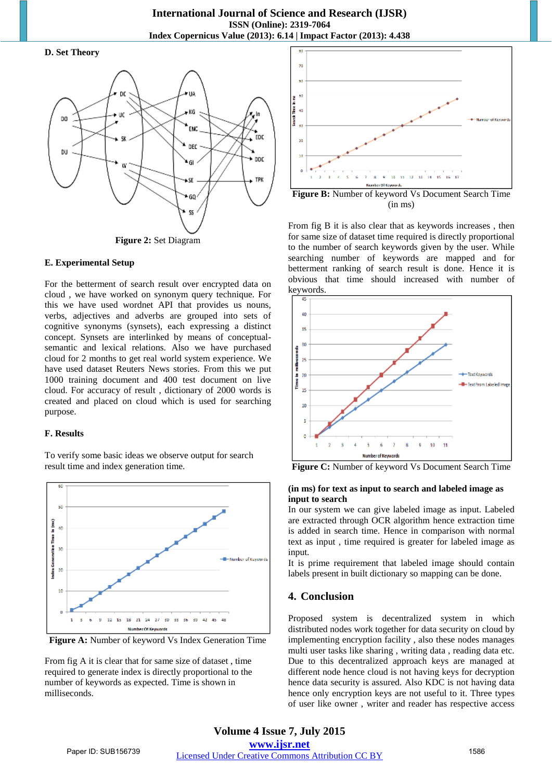#### **D. Set Theory**



**Figure 2:** Set Diagram

#### **E. Experimental Setup**

For the betterment of search result over encrypted data on cloud , we have worked on synonym query technique. For this we have used wordnet API that provides us nouns, verbs, adjectives and adverbs are grouped into sets of cognitive synonyms (synsets), each expressing a distinct concept. Synsets are interlinked by means of conceptualsemantic and lexical relations. Also we have purchased cloud for 2 months to get real world system experience. We have used dataset Reuters News stories. From this we put 1000 training document and 400 test document on live cloud. For accuracy of result , dictionary of 2000 words is created and placed on cloud which is used for searching purpose.

### **F. Results**

To verify some basic ideas we observe output for search result time and index generation time.



Figure A: Number of keyword Vs Index Generation Time

From fig A it is clear that for same size of dataset , time required to generate index is directly proportional to the number of keywords as expected. Time is shown in milliseconds.



**Figure B:** Number of keyword Vs Document Search Time (in ms)

From fig B it is also clear that as keywords increases , then for same size of dataset time required is directly proportional to the number of search keywords given by the user. While searching number of keywords are mapped and for betterment ranking of search result is done. Hence it is obvious that time should increased with number of  $keywords.$ 



**Figure C:** Number of keyword Vs Document Search Time

#### **(in ms) for text as input to search and labeled image as input to search**

In our system we can give labeled image as input. Labeled are extracted through OCR algorithm hence extraction time is added in search time. Hence in comparison with normal text as input , time required is greater for labeled image as input.

It is prime requirement that labeled image should contain labels present in built dictionary so mapping can be done.

## **4. Conclusion**

Proposed system is decentralized system in which distributed nodes work together for data security on cloud by implementing encryption facility , also these nodes manages multi user tasks like sharing , writing data , reading data etc. Due to this decentralized approach keys are managed at different node hence cloud is not having keys for decryption hence data security is assured. Also KDC is not having data hence only encryption keys are not useful to it. Three types of user like owner , writer and reader has respective access